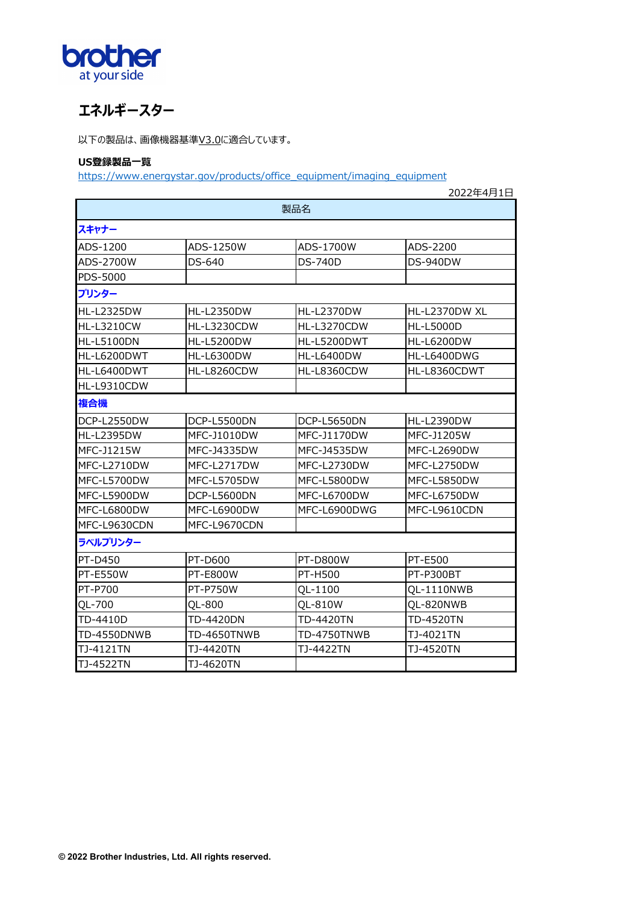

## **エネルギースター**

以下の製品は、画像機器基準V3.0に適合しています。

## **US登録製品⼀覧**

https://www.energystar.gov/products/office\_equipment/imaging\_equipment

|                    |                    |                    | 2022年4月1日         |  |  |  |
|--------------------|--------------------|--------------------|-------------------|--|--|--|
| 製品名                |                    |                    |                   |  |  |  |
| スキャナー              |                    |                    |                   |  |  |  |
| ADS-1200           | ADS-1250W          | ADS-1700W          | ADS-2200          |  |  |  |
| ADS-2700W          | DS-640             | DS-740D            | DS-940DW          |  |  |  |
| <b>PDS-5000</b>    |                    |                    |                   |  |  |  |
| プリンター              |                    |                    |                   |  |  |  |
| <b>HL-L2325DW</b>  | <b>HL-L2350DW</b>  | <b>HL-L2370DW</b>  | HL-L2370DW XL     |  |  |  |
| <b>HL-L3210CW</b>  | <b>HL-L3230CDW</b> | <b>HL-L3270CDW</b> | <b>HL-L5000D</b>  |  |  |  |
| HL-L5100DN         | <b>HL-L5200DW</b>  | HL-L5200DWT        | <b>HL-L6200DW</b> |  |  |  |
| HL-L6200DWT        | <b>HL-L6300DW</b>  | <b>HL-L6400DW</b>  | HL-L6400DWG       |  |  |  |
| HL-L6400DWT        | <b>HL-L8260CDW</b> | HL-L8360CDW        | HL-L8360CDWT      |  |  |  |
| HL-L9310CDW        |                    |                    |                   |  |  |  |
| 複合機                |                    |                    |                   |  |  |  |
| DCP-L2550DW        | DCP-L5500DN        | DCP-L5650DN        | <b>HL-L2390DW</b> |  |  |  |
| <b>HL-L2395DW</b>  | <b>MFC-J1010DW</b> | MFC-J1170DW        | MFC-J1205W        |  |  |  |
| MFC-J1215W         | MFC-J4335DW        | MFC-J4535DW        | MFC-L2690DW       |  |  |  |
| MFC-L2710DW        | MFC-L2717DW        | MFC-L2730DW        | MFC-L2750DW       |  |  |  |
| MFC-L5700DW        | MFC-L5705DW        | MFC-L5800DW        | MFC-L5850DW       |  |  |  |
| MFC-L5900DW        | DCP-L5600DN        | MFC-L6700DW        | MFC-L6750DW       |  |  |  |
| MFC-L6800DW        | MFC-L6900DW        | MFC-L6900DWG       | MFC-L9610CDN      |  |  |  |
| MFC-L9630CDN       | MFC-L9670CDN       |                    |                   |  |  |  |
| ラベルプリンター           |                    |                    |                   |  |  |  |
| PT-D450            | <b>PT-D600</b>     | <b>PT-D800W</b>    | PT-E500           |  |  |  |
| PT-E550W           | <b>PT-E800W</b>    | PT-H500            | PT-P300BT         |  |  |  |
| PT-P700            | <b>PT-P750W</b>    | QL-1100            | OL-1110NWB        |  |  |  |
| QL-700             | OL-800             | QL-810W            | QL-820NWB         |  |  |  |
| TD-4410D           | <b>TD-4420DN</b>   | TD-4420TN          | <b>TD-4520TN</b>  |  |  |  |
| <b>TD-4550DNWB</b> | TD-4650TNWB        | TD-4750TNWB        | TJ-4021TN         |  |  |  |
| TJ-4121TN          | TJ-4420TN          | TJ-4422TN          | TJ-4520TN         |  |  |  |
| TJ-4522TN          | TJ-4620TN          |                    |                   |  |  |  |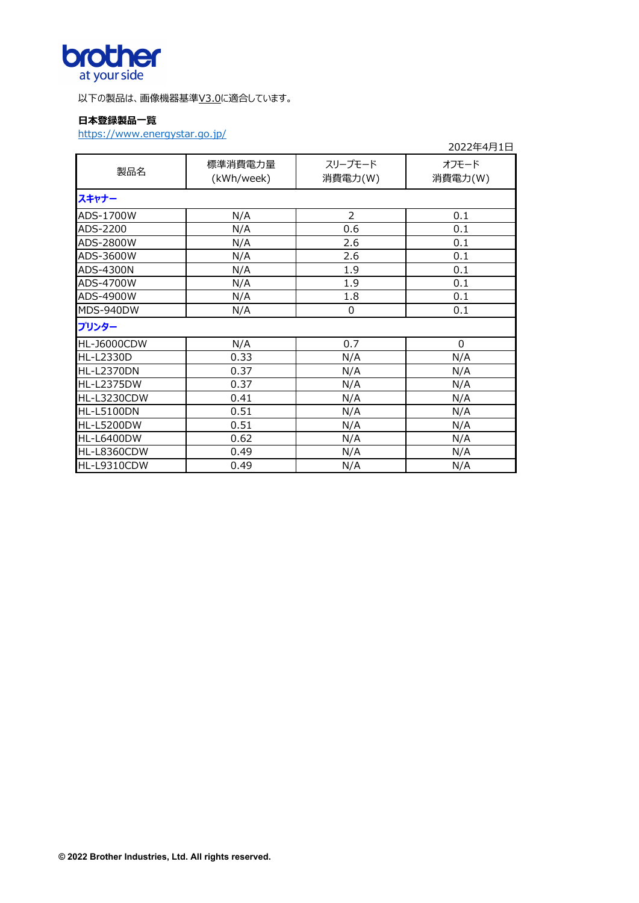

以下の製品は、画像機器基準V3.0に適合しています。

## **⽇本登録製品⼀覧**

https://www.energystar.go.jp/

|                    |                       |                    | 2022年4月1日        |
|--------------------|-----------------------|--------------------|------------------|
| 製品名                | 標準消費電力量<br>(kWh/week) | スリープモード<br>消費電力(W) | オフモード<br>消費電力(W) |
| スキャナー              |                       |                    |                  |
| ADS-1700W          | N/A                   | $\overline{2}$     | 0.1              |
| ADS-2200           | N/A                   | 0.6                | 0.1              |
| ADS-2800W          | N/A                   | 2.6                | 0.1              |
| ADS-3600W          | N/A                   | 2.6                | 0.1              |
| ADS-4300N          | N/A                   | 1.9                | 0.1              |
| ADS-4700W          | N/A                   | 1.9                | 0.1              |
| ADS-4900W          | N/A                   | 1.8                | 0.1              |
| MDS-940DW          | N/A                   | $\Omega$           | 0.1              |
| プリンター              |                       |                    |                  |
| HL-J6000CDW        | N/A                   | 0.7                | $\mathbf 0$      |
| HL-L2330D          | 0.33                  | N/A                | N/A              |
| <b>HL-L2370DN</b>  | 0.37                  | N/A                | N/A              |
| <b>HL-L2375DW</b>  | 0.37                  | N/A                | N/A              |
| <b>HL-L3230CDW</b> | 0.41                  | N/A                | N/A              |
| <b>HL-L5100DN</b>  | 0.51                  | N/A                | N/A              |
| <b>HL-L5200DW</b>  | 0.51                  | N/A                | N/A              |
| <b>HL-L6400DW</b>  | 0.62                  | N/A                | N/A              |
| HL-L8360CDW        | 0.49                  | N/A                | N/A              |
| HL-L9310CDW        | 0.49                  | N/A                | N/A              |